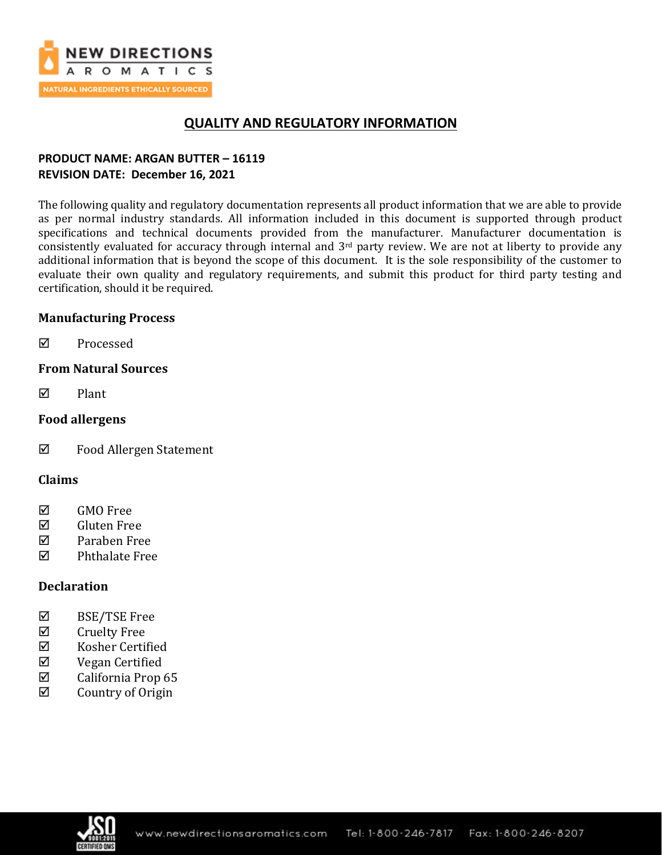

## **QUALITY AND REGULATORY INFORMATION**

## **PRODUCT NAME: ARGAN BUTTER – 16119 REVISION DATE: December 16, 2021**

The following quality and regulatory documentation represents all product information that we are able to provide as per normal industry standards. All information included in this document is supported through product specifications and technical documents provided from the manufacturer. Manufacturer documentation is consistently evaluated for accuracy through internal and 3rd party review. We are not at liberty to provide any additional information that is beyond the scope of this document. It is the sole responsibility of the customer to evaluate their own quality and regulatory requirements, and submit this product for third party testing and certification, should it be required.

## **Manufacturing Process**

**Ø** Processed

## **From Natural Sources**

 $\nabla$  Plant

## **Food allergens**

Food Allergen Statement

### **Claims**

- **☑** GMO Free
- Gluten Free
- Paraben Free
- $\nabla$  Phthalate Free

## **Declaration**

- $\boxtimes$  BSE/TSE Free
- $\boxtimes$  Cruelty Free
- $\boxtimes$  Kosher Certified
- Vegan Certified
- $\boxtimes$  California Prop 65
- $\boxtimes$  Country of Origin

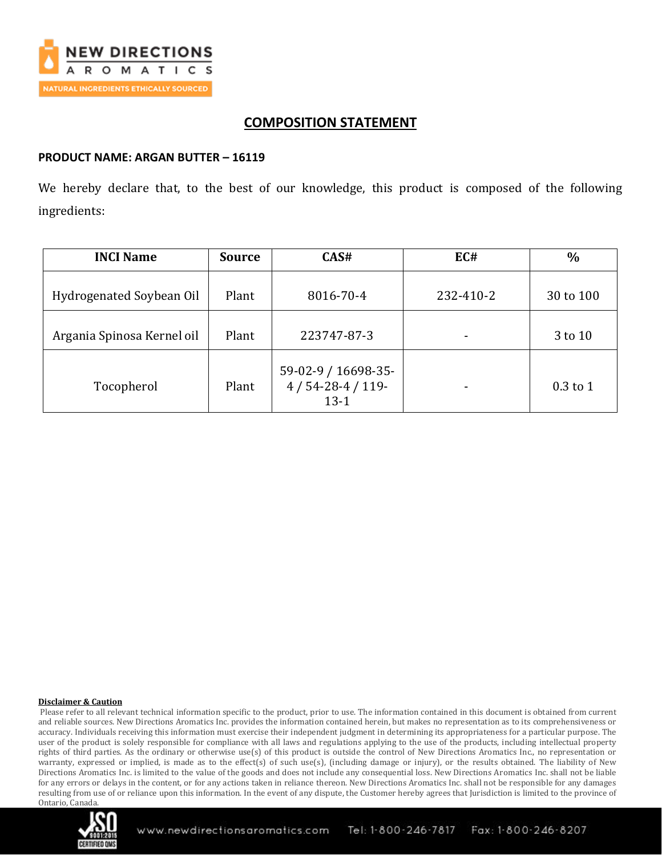

## **COMPOSITION STATEMENT**

### **PRODUCT NAME: ARGAN BUTTER – 16119**

We hereby declare that, to the best of our knowledge, this product is composed of the following ingredients:

| <b>INCI Name</b>           | <b>Source</b> | CAS#                                              | EC#       | $\frac{0}{0}$ |
|----------------------------|---------------|---------------------------------------------------|-----------|---------------|
| Hydrogenated Soybean Oil   | Plant         | 8016-70-4                                         | 232-410-2 | 30 to 100     |
| Argania Spinosa Kernel oil | Plant         | 223747-87-3                                       |           | 3 to 10       |
| Tocopherol                 | Plant         | 59-02-9 / 16698-35-<br>$4/54-28-4/119-$<br>$13-1$ |           | $0.3$ to 1    |

#### **Disclaimer & Caution**

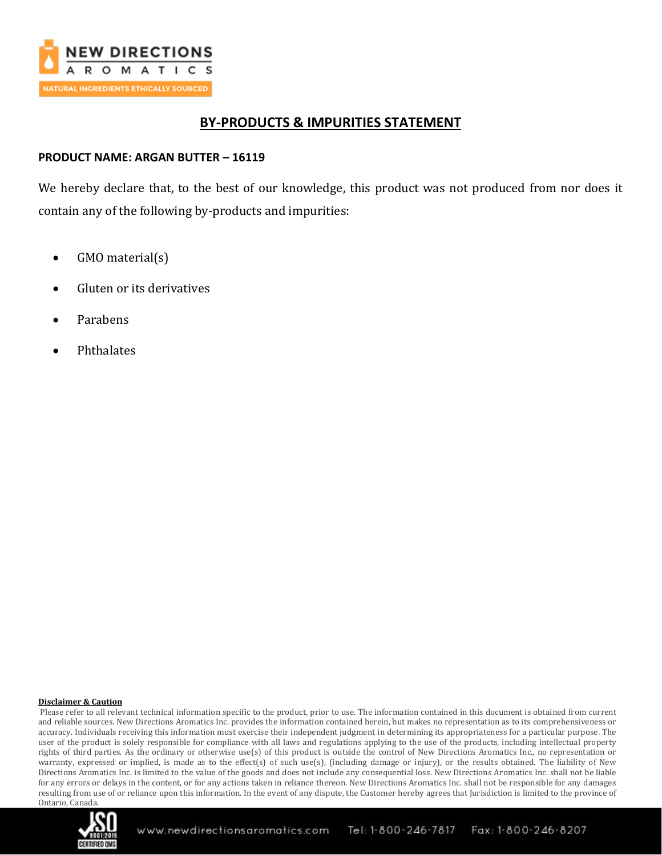

## **BY-PRODUCTS & IMPURITIES STATEMENT**

### **PRODUCT NAME: ARGAN BUTTER – 16119**

We hereby declare that, to the best of our knowledge, this product was not produced from nor does it contain any of the following by-products and impurities:

- GMO material(s)
- Gluten or its derivatives
- Parabens
- Phthalates

#### **Disclaimer & Caution**

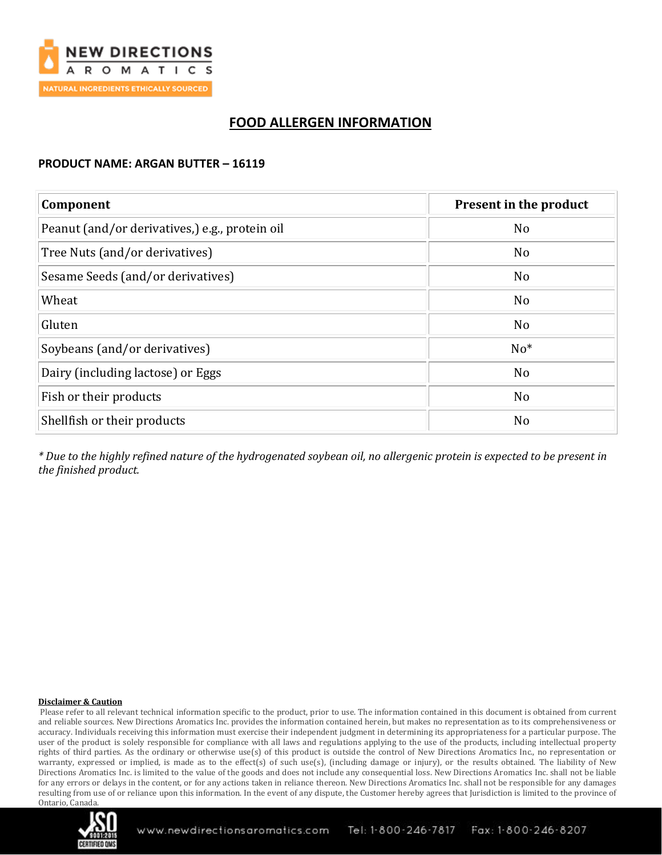

## **FOOD ALLERGEN INFORMATION**

### **PRODUCT NAME: ARGAN BUTTER – 16119**

| Component                                      | Present in the product |  |
|------------------------------------------------|------------------------|--|
| Peanut (and/or derivatives,) e.g., protein oil | N <sub>o</sub>         |  |
| Tree Nuts (and/or derivatives)                 | N <sub>o</sub>         |  |
| Sesame Seeds (and/or derivatives)              | N <sub>o</sub>         |  |
| Wheat                                          | N <sub>o</sub>         |  |
| Gluten                                         | N <sub>o</sub>         |  |
| Soybeans (and/or derivatives)                  | $No*$                  |  |
| Dairy (including lactose) or Eggs              | N <sub>o</sub>         |  |
| Fish or their products                         | N <sub>o</sub>         |  |
| Shellfish or their products                    | N <sub>o</sub>         |  |

*\* Due to the highly refined nature of the hydrogenated soybean oil, no allergenic protein is expected to be present in the finished product.*

#### **Disclaimer & Caution**

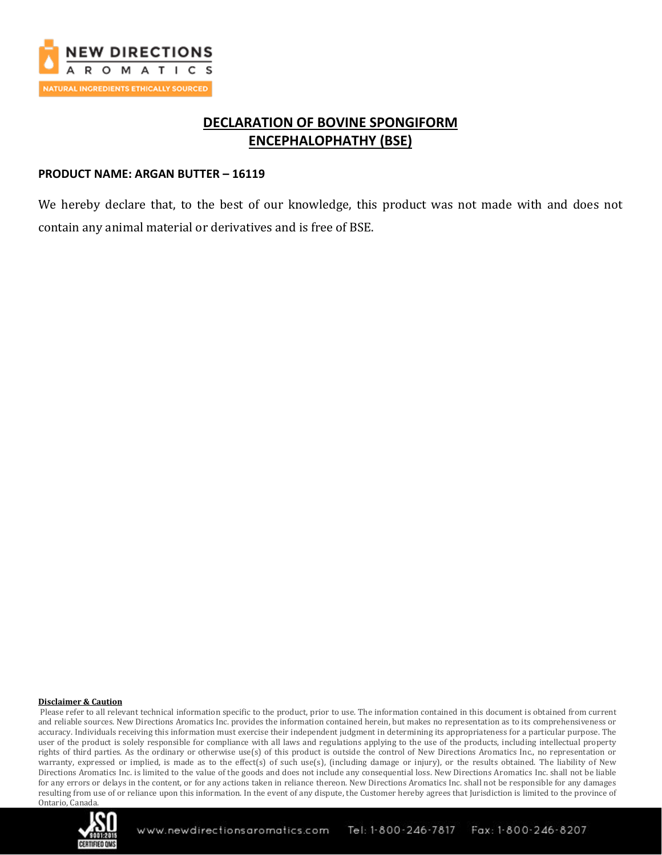

## **DECLARATION OF BOVINE SPONGIFORM ENCEPHALOPHATHY (BSE)**

#### **PRODUCT NAME: ARGAN BUTTER – 16119**

We hereby declare that, to the best of our knowledge, this product was not made with and does not contain any animal material or derivatives and is free of BSE.

#### **Disclaimer & Caution**

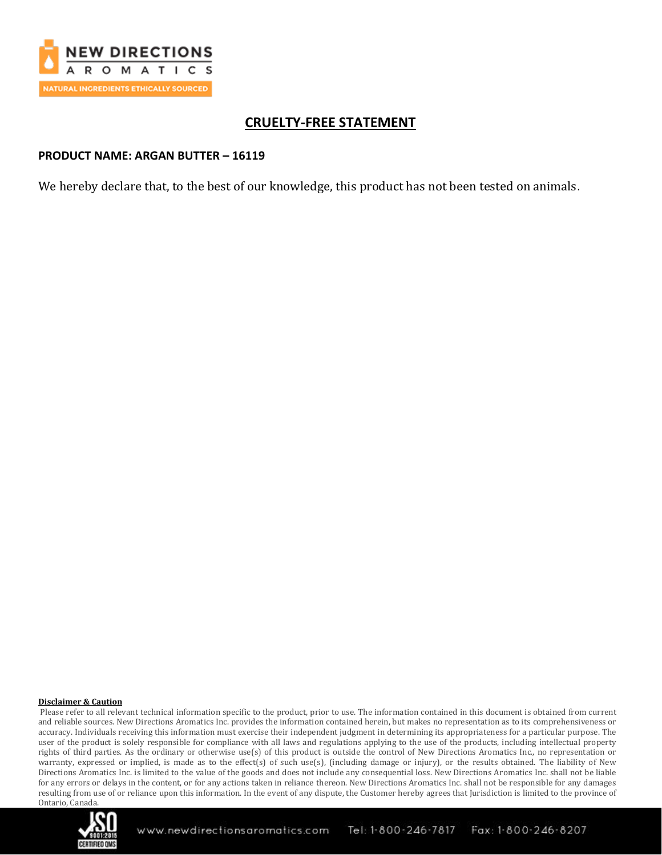

## **CRUELTY-FREE STATEMENT**

#### **PRODUCT NAME: ARGAN BUTTER – 16119**

We hereby declare that, to the best of our knowledge, this product has not been tested on animals.

#### **Disclaimer & Caution**

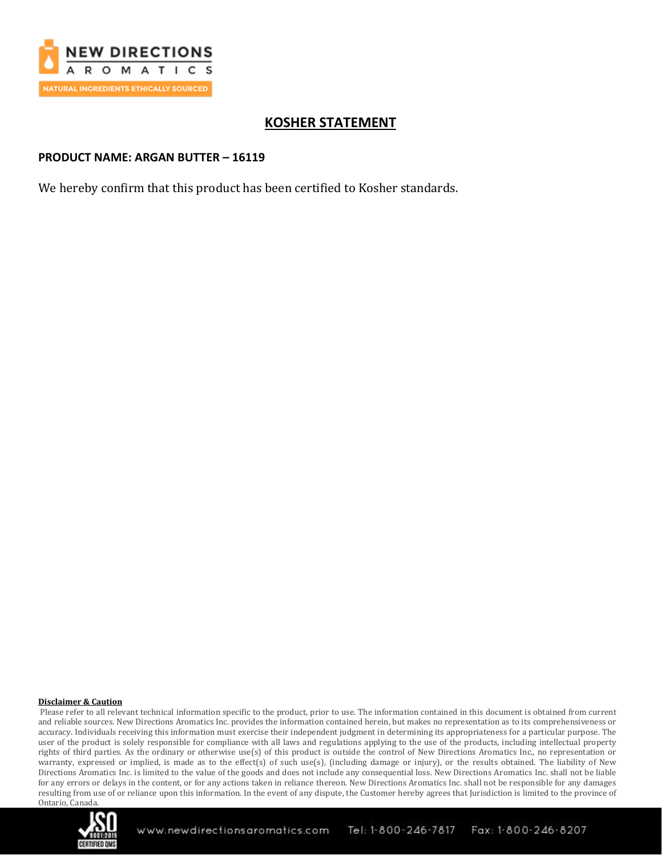

## **KOSHER STATEMENT**

### **PRODUCT NAME: ARGAN BUTTER – 16119**

We hereby confirm that this product has been certified to Kosher standards.

#### **Disclaimer & Caution**

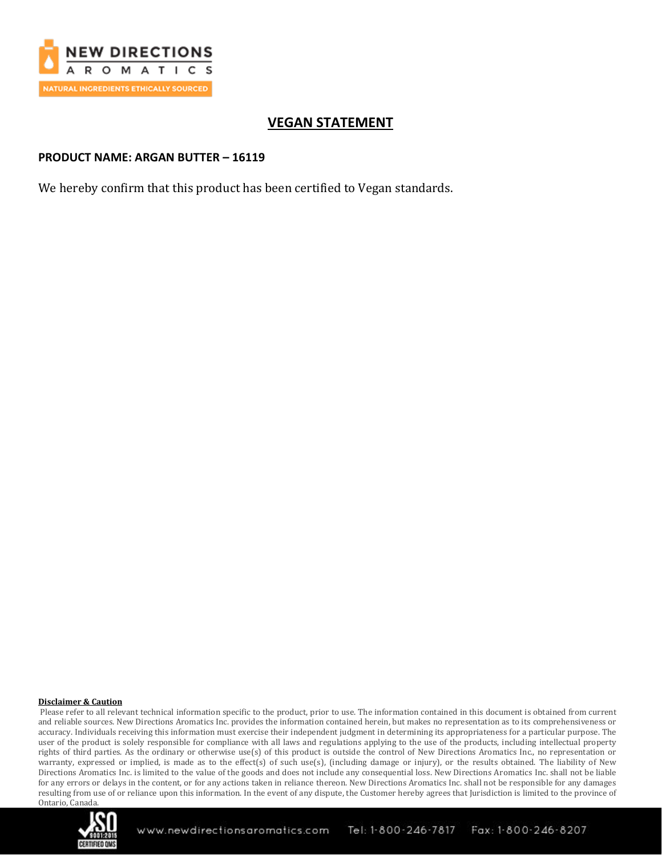

## **VEGAN STATEMENT**

### **PRODUCT NAME: ARGAN BUTTER – 16119**

We hereby confirm that this product has been certified to Vegan standards.

#### **Disclaimer & Caution**

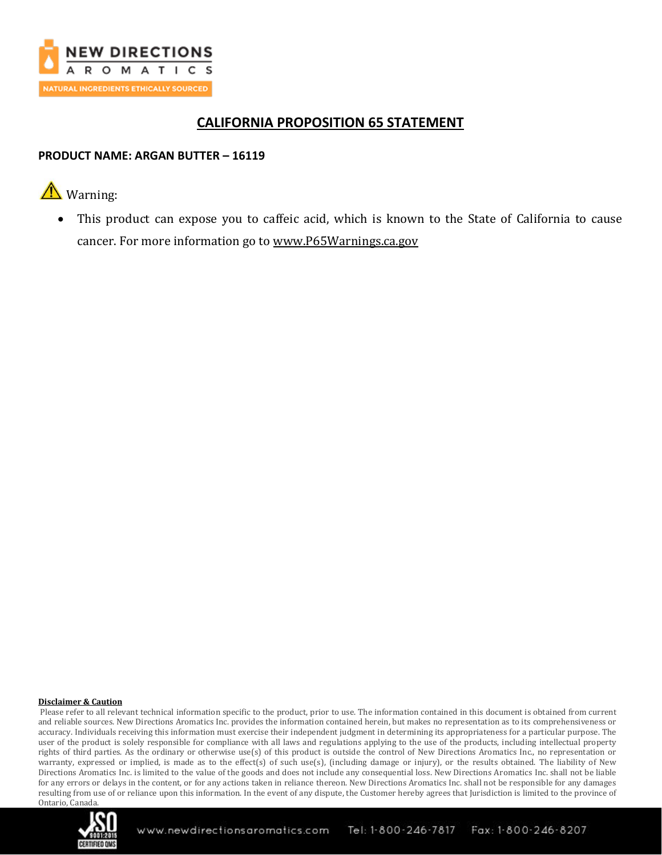

## **CALIFORNIA PROPOSITION 65 STATEMENT**

### **PRODUCT NAME: ARGAN BUTTER – 16119**

# **A** Warning:

This product can expose you to caffeic acid, which is known to the State of California to cause cancer. For more information go to [www.P65Warnings.ca.gov](http://www.p65warnings.ca.gov/)

#### **Disclaimer & Caution**